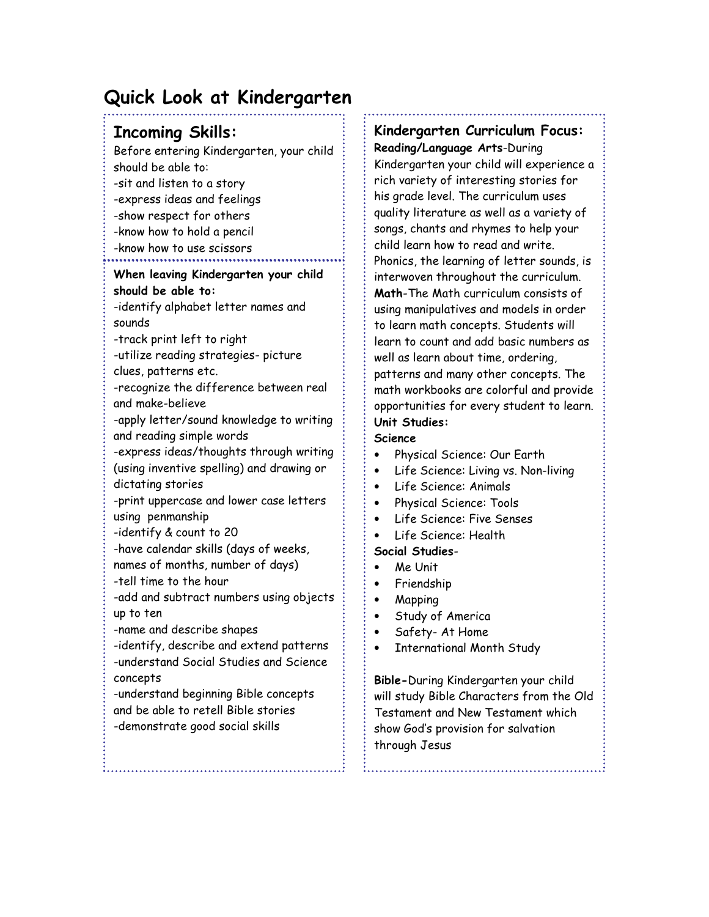# Quick Look at Kindergarten

# Incoming Skills:

Before entering Kindergarten, your child should be able to: -sit and listen to a story -express ideas and feelings -show respect for others -know how to hold a pencil -know how to use scissors

### When leaving Kindergarten your child should be able to:

-identify alphabet letter names and sounds

-track print left to right

-utilize reading strategies- picture clues, patterns etc.

-recognize the difference between real and make-believe

-apply letter/sound knowledge to writing and reading simple words

-express ideas/thoughts through writing (using inventive spelling) and drawing or dictating stories

-print uppercase and lower case letters using penmanship

-identify & count to 20

-have calendar skills (days of weeks,

names of months, number of days)

-tell time to the hour

-add and subtract numbers using objects up to ten

-name and describe shapes

-identify, describe and extend patterns -understand Social Studies and Science concepts

-understand beginning Bible concepts and be able to retell Bible stories -demonstrate good social skills

## Kindergarten Curriculum Focus:

Reading/Language Arts-During Kindergarten your child will experience a rich variety of interesting stories for his grade level. The curriculum uses quality literature as well as a variety of songs, chants and rhymes to help your child learn how to read and write. Phonics, the learning of letter sounds, is interwoven throughout the curriculum. Math-The Math curriculum consists of using manipulatives and models in order to learn math concepts. Students will learn to count and add basic numbers as well as learn about time, ordering, patterns and many other concepts. The math workbooks are colorful and provide opportunities for every student to learn. Unit Studies:

### Science

- Physical Science: Our Earth
- Life Science: Living vs. Non-living
- Life Science: Animals
- Physical Science: Tools
- Life Science: Five Senses
- Life Science: Health

### Social Studies-

- Me Unit
- Friendship
- Mapping
- Study of America
- Safety- At Home
- International Month Study

Bible-During Kindergarten your child will study Bible Characters from the Old Testament and New Testament which show God's provision for salvation through Jesus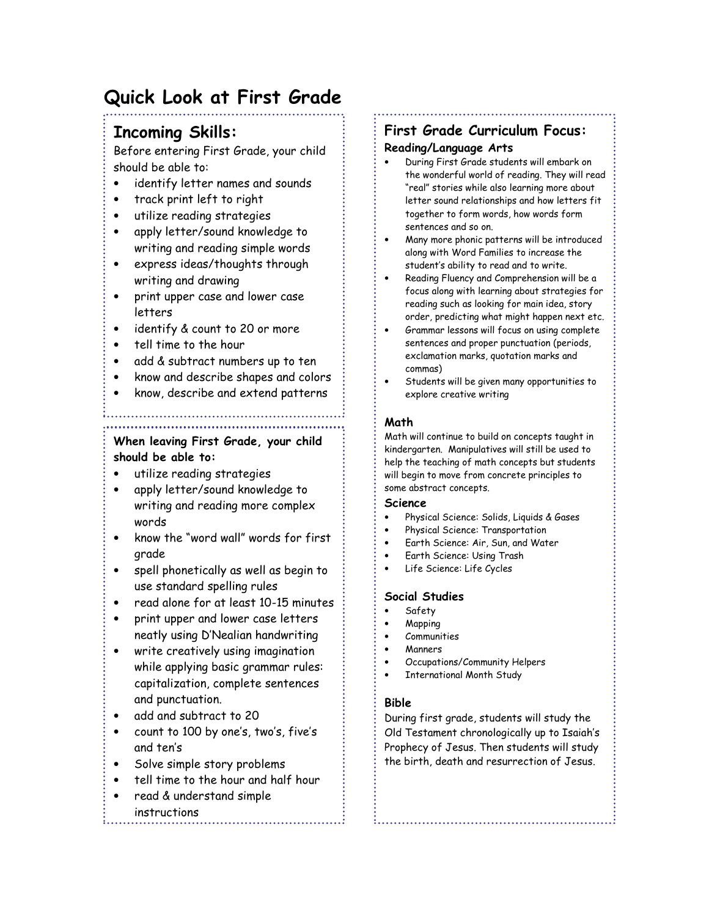# Quick Look at First Grade

## Incoming Skills:

Before entering First Grade, your child should be able to:

- identify letter names and sounds
- track print left to right
- utilize reading strategies
- apply letter/sound knowledge to writing and reading simple words
- express ideas/thoughts through writing and drawing
- print upper case and lower case letters
- identify & count to 20 or more
- tell time to the hour
- add & subtract numbers up to ten
- know and describe shapes and colors
- know, describe and extend patterns

#### When leaving First Grade, your child should be able to:

- utilize reading strategies
- apply letter/sound knowledge to writing and reading more complex words
- know the "word wall" words for first grade
- spell phonetically as well as begin to use standard spelling rules
- read alone for at least 10-15 minutes
- print upper and lower case letters neatly using D'Nealian handwriting
- write creatively using imagination while applying basic grammar rules: capitalization, complete sentences and punctuation.
- add and subtract to 20
- count to 100 by one's, two's, five's and ten's
- Solve simple story problems
- tell time to the hour and half hour
- read & understand simple
	- instructions

# First Grade Curriculum Focus:

#### Reading/Language Arts

- During First Grade students will embark on the wonderful world of reading. They will read "real" stories while also learning more about letter sound relationships and how letters fit together to form words, how words form sentences and so on.
- Many more phonic patterns will be introduced along with Word Families to increase the student's ability to read and to write.
- Reading Fluency and Comprehension will be a focus along with learning about strategies for reading such as looking for main idea, story order, predicting what might happen next etc.
- Grammar lessons will focus on using complete sentences and proper punctuation (periods, exclamation marks, quotation marks and commas)
- Students will be given many opportunities to explore creative writing

#### Math

Math will continue to build on concepts taught in kindergarten. Manipulatives will still be used to help the teaching of math concepts but students will begin to move from concrete principles to some abstract concepts.

#### Science

- Physical Science: Solids, Liquids & Gases
- Physical Science: Transportation
- Earth Science: Air, Sun, and Water
- Earth Science: Using Trash
- Life Science: Life Cycles

#### Social Studies

- Safety
- Mapping
- Communities
- Manners
- Occupations/Community Helpers
	- International Month Study

### Bible

During first grade, students will study the Old Testament chronologically up to Isaiah's Prophecy of Jesus. Then students will study the birth, death and resurrection of Jesus.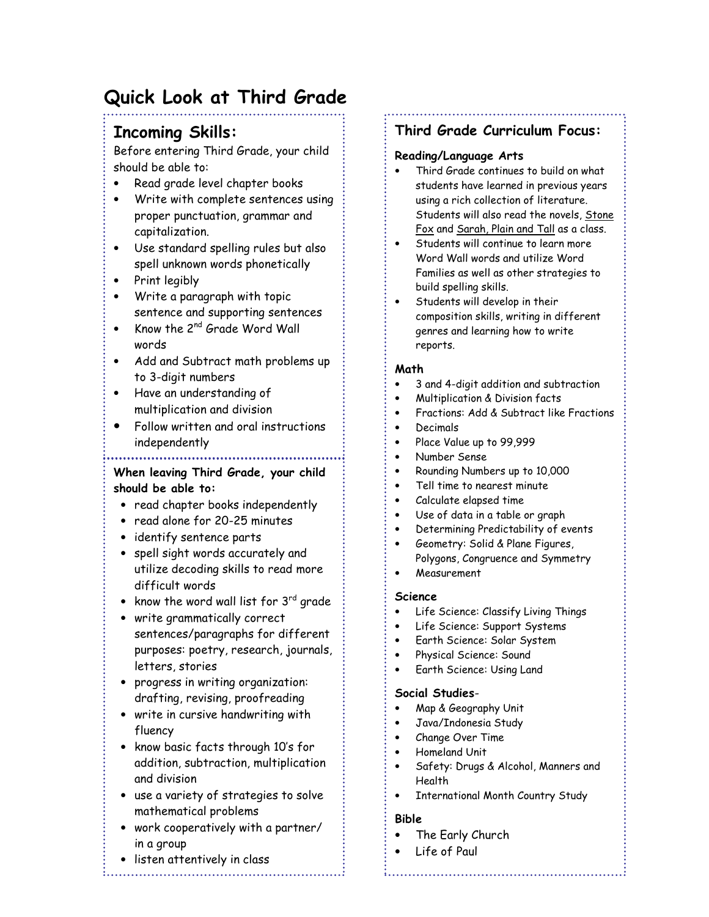# Quick Look at Third Grade

# Incoming Skills:

Before entering Third Grade, your child should be able to:

- Read grade level chapter books
- Write with complete sentences using proper punctuation, grammar and capitalization.
- Use standard spelling rules but also spell unknown words phonetically
- Print legibly
- Write a paragraph with topic sentence and supporting sentences
- Know the 2<sup>nd</sup> Grade Word Wall words
- Add and Subtract math problems up to 3-digit numbers
- Have an understanding of multiplication and division
- Follow written and oral instructions independently

#### • When leaving Third Grade, your child should be able to:

- read chapter books independently
- read alone for 20-25 minutes
- identify sentence parts
- spell sight words accurately and utilize decoding skills to read more difficult words
- know the word wall list for  $3^{rd}$  grade
- write grammatically correct sentences/paragraphs for different purposes: poetry, research, journals, letters, stories
- progress in writing organization: drafting, revising, proofreading
- write in cursive handwriting with fluency
- know basic facts through 10's for addition, subtraction, multiplication and division
- use a variety of strategies to solve mathematical problems
- work cooperatively with a partner/ in a group
- listen attentively in class

## Third Grade Curriculum Focus:

#### Reading/Language Arts

- Third Grade continues to build on what students have learned in previous years using a rich collection of literature. Students will also read the novels, Stone Fox and Sarah, Plain and Tall as a class.
- Students will continue to learn more Word Wall words and utilize Word Families as well as other strategies to build spelling skills.
- Students will develop in their composition skills, writing in different genres and learning how to write reports.

### Math

- 3 and 4-digit addition and subtraction
- Multiplication & Division facts
- Fractions: Add & Subtract like Fractions
- Decimals
- Place Value up to 99,999
- Number Sense
- Rounding Numbers up to 10,000
- Tell time to nearest minute
- Calculate elapsed time
- Use of data in a table or graph
- Determining Predictability of events
- Geometry: Solid & Plane Figures, Polygons, Congruence and Symmetry
- Measurement

#### Science

- Life Science: Classify Living Things
- Life Science: Support Systems
- Earth Science: Solar System
- Physical Science: Sound
- Earth Science: Using Land

#### Social Studies-

- Map & Geography Unit
- Java/Indonesia Study
- Change Over Time
- Homeland Unit
- Safety: Drugs & Alcohol, Manners and Health

• International Month Country Study

### Bible

- The Early Church
- Life of Paul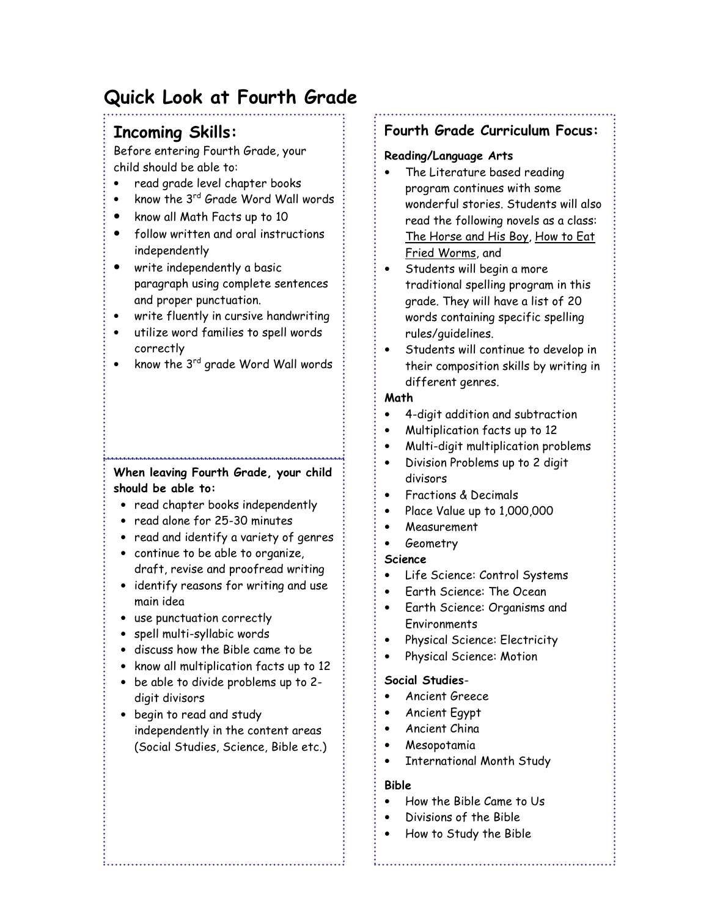# Quick Look at Fourth Grade

# Incoming Skills:

Before entering Fourth Grade, your child should be able to:

- read grade level chapter books
- know the 3<sup>rd</sup> Grade Word Wall words
- know all Math Facts up to 10
- follow written and oral instructions independently
- write independently a basic paragraph using complete sentences and proper punctuation.
- write fluently in cursive handwriting
- utilize word families to spell words correctly
- know the 3<sup>rd</sup> grade Word Wall words

### When leaving Fourth Grade, your child should be able to:

- read chapter books independently
- read alone for 25-30 minutes
- read and identify a variety of genres
- continue to be able to organize, draft, revise and proofread writing
- identify reasons for writing and use main idea
- use punctuation correctly
- spell multi-syllabic words
- discuss how the Bible came to be
- know all multiplication facts up to 12
- be able to divide problems up to 2 digit divisors
- begin to read and study independently in the content areas (Social Studies, Science, Bible etc.)

### Fourth Grade Curriculum Focus:

#### Reading/Language Arts

- The Literature based reading program continues with some wonderful stories. Students will also read the following novels as a class: The Horse and His Boy, How to Eat Fried Worms, and
- Students will begin a more traditional spelling program in this grade. They will have a list of 20 words containing specific spelling rules/guidelines.
- Students will continue to develop in their composition skills by writing in different genres.

### Math

- 4-digit addition and subtraction
- Multiplication facts up to 12
- Multi-digit multiplication problems
- Division Problems up to 2 digit divisors
- Fractions & Decimals
- Place Value up to 1,000,000
- Measurement
- Geometry

### Science

- Life Science: Control Systems
- Earth Science: The Ocean
- Earth Science: Organisms and Environments
- Physical Science: Electricity
- Physical Science: Motion

#### Social Studies-

- Ancient Greece
- Ancient Egypt
- Ancient China
- Mesopotamia
- International Month Study

#### Bible

- How the Bible Came to Us
- Divisions of the Bible
- How to Study the Bible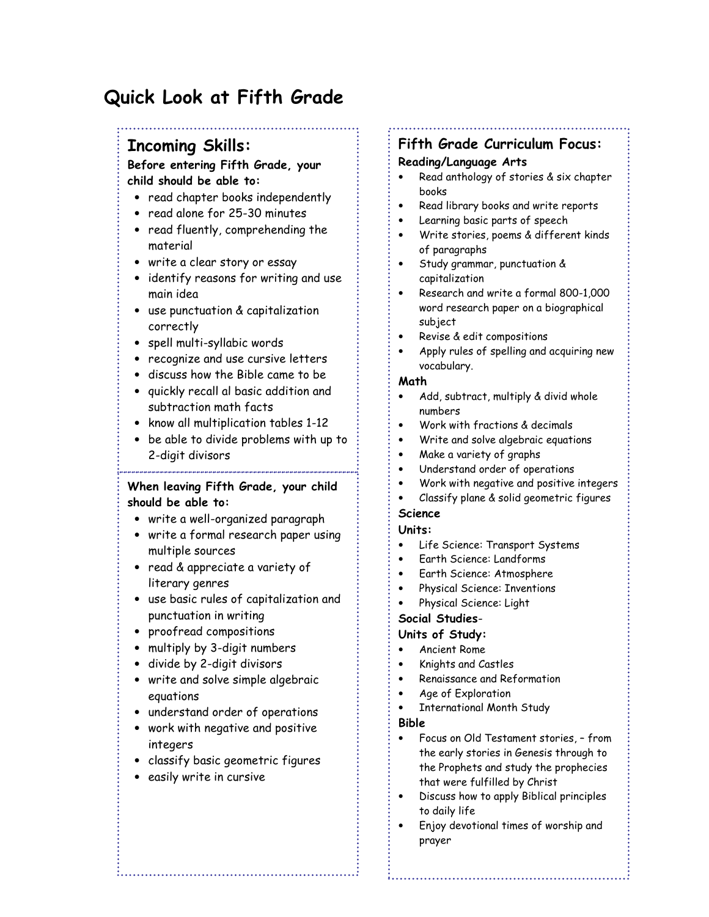# Quick Look at Fifth Grade

## Incoming Skills:

#### Before entering Fifth Grade, your child should be able to:

- read chapter books independently
- read alone for 25-30 minutes
- read fluently, comprehending the material
- write a clear story or essay
- identify reasons for writing and use main idea
- use punctuation & capitalization correctly
- spell multi-syllabic words
- recognize and use cursive letters
- discuss how the Bible came to be
- quickly recall al basic addition and subtraction math facts
- know all multiplication tables 1-12
- be able to divide problems with up to 2-digit divisors

### When leaving Fifth Grade, your child should be able to:

- write a well-organized paragraph
- write a formal research paper using multiple sources
- read & appreciate a variety of literary genres
- use basic rules of capitalization and punctuation in writing
- proofread compositions
- multiply by 3-digit numbers
- divide by 2-digit divisors
- write and solve simple algebraic equations
- understand order of operations
- work with negative and positive integers
- classify basic geometric figures
- easily write in cursive

# Fifth Grade Curriculum Focus:

#### Reading/Language Arts

- Read anthology of stories & six chapter books
- Read library books and write reports
- Learning basic parts of speech
- Write stories, poems & different kinds of paragraphs
- Study grammar, punctuation & capitalization
- Research and write a formal 800-1,000 word research paper on a biographical subject
- Revise & edit compositions
- Apply rules of spelling and acquiring new vocabulary.

#### Math

- Add, subtract, multiply & divid whole numbers
- Work with fractions & decimals
- Write and solve algebraic equations
- Make a variety of graphs
- Understand order of operations
- Work with negative and positive integers
- Classify plane & solid geometric figures

#### Science

- Units:
- Life Science: Transport Systems
- Earth Science: Landforms
- Earth Science: Atmosphere
- Physical Science: Inventions
- Physical Science: Light

#### Social Studies-

#### Units of Study:

- Ancient Rome
- Knights and Castles
- Renaissance and Reformation
- Age of Exploration
- International Month Study

#### Bible

- Focus on Old Testament stories, from the early stories in Genesis through to the Prophets and study the prophecies that were fulfilled by Christ
- Discuss how to apply Biblical principles to daily life
- Enjoy devotional times of worship and prayer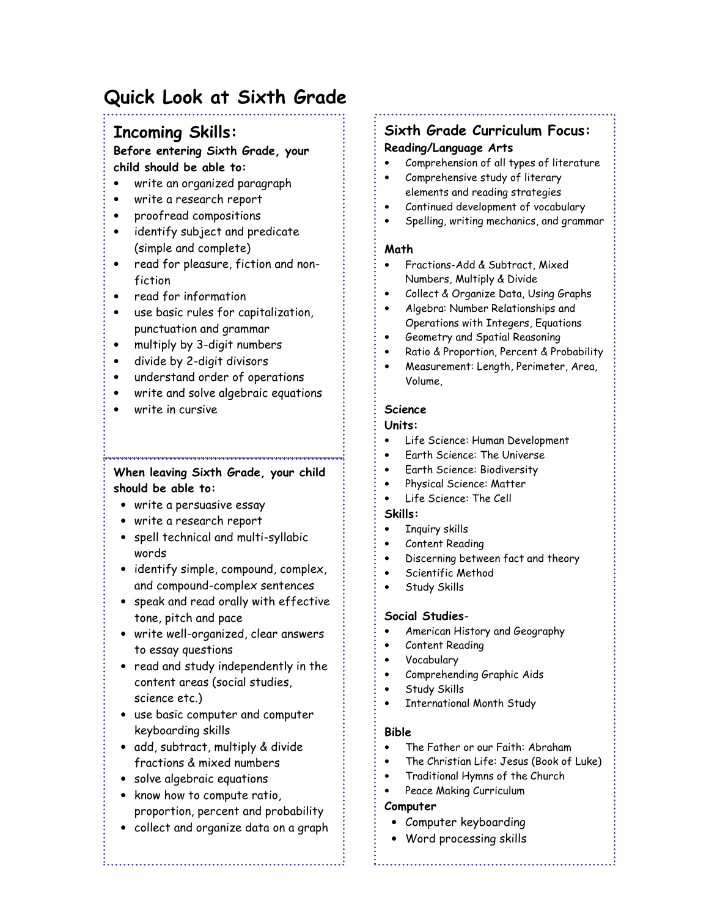# Quick Look at Sixth Grade

## Incoming Skills:

#### Before entering Sixth Grade, your child should be able to:

- write an organized paragraph
- write a research report
- proofread compositions
- identify subject and predicate (simple and complete)
- read for pleasure, fiction and nonfiction
- read for information
- use basic rules for capitalization, punctuation and grammar
- multiply by 3-digit numbers
- divide by 2-digit divisors
- understand order of operations
- write and solve algebraic equations
- write in cursive

## When leaving Sixth Grade, your child should be able to:

.<br>8.<br>Coronario no noronario no conocidade no conocidad de conocidad e conocidad e conocidad e conocidad e conocidad

- write a persuasive essay
- write a research report
- spell technical and multi-syllabic words
- identify simple, compound, complex, and compound-complex sentences
- speak and read orally with effective tone, pitch and pace
- write well-organized, clear answers to essay questions
- read and study independently in the content areas (social studies, science etc.)
- use basic computer and computer keyboarding skills
- add, subtract, multiply & divide fractions & mixed numbers
- solve algebraic equations
- know how to compute ratio, proportion, percent and probability
- collect and organize data on a graph

# Sixth Grade Curriculum Focus:

#### Reading/Language Arts

- Comprehension of all types of literature
- Comprehensive study of literary elements and reading strategies
- Continued development of vocabulary
- Spelling, writing mechanics, and grammar

#### Math

- Fractions-Add & Subtract, Mixed Numbers, Multiply & Divide
- Collect & Organize Data, Using Graphs
- Algebra: Number Relationships and Operations with Integers, Equations
- Geometry and Spatial Reasoning
- Ratio & Proportion, Percent & Probability
- Measurement: Length, Perimeter, Area, Volume,

#### Science

#### Units:

- Life Science: Human Development
- Earth Science: The Universe
- Earth Science: Biodiversity
- Physical Science: Matter
- Life Science: The Cell

#### Skills:

- Inquiry skills
- Content Reading
- Discerning between fact and theory
- Scientific Method
- Study Skills

#### Social Studies-

- American History and Geography
- Content Reading
- Vocabulary
- Comprehending Graphic Aids
- Study Skills
- International Month Study

#### Bible

- The Father or our Faith: Abraham
- The Christian Life: Jesus (Book of Luke)
- Traditional Hymns of the Church
- Peace Making Curriculum

#### Computer

- Computer keyboarding
- Word processing skills